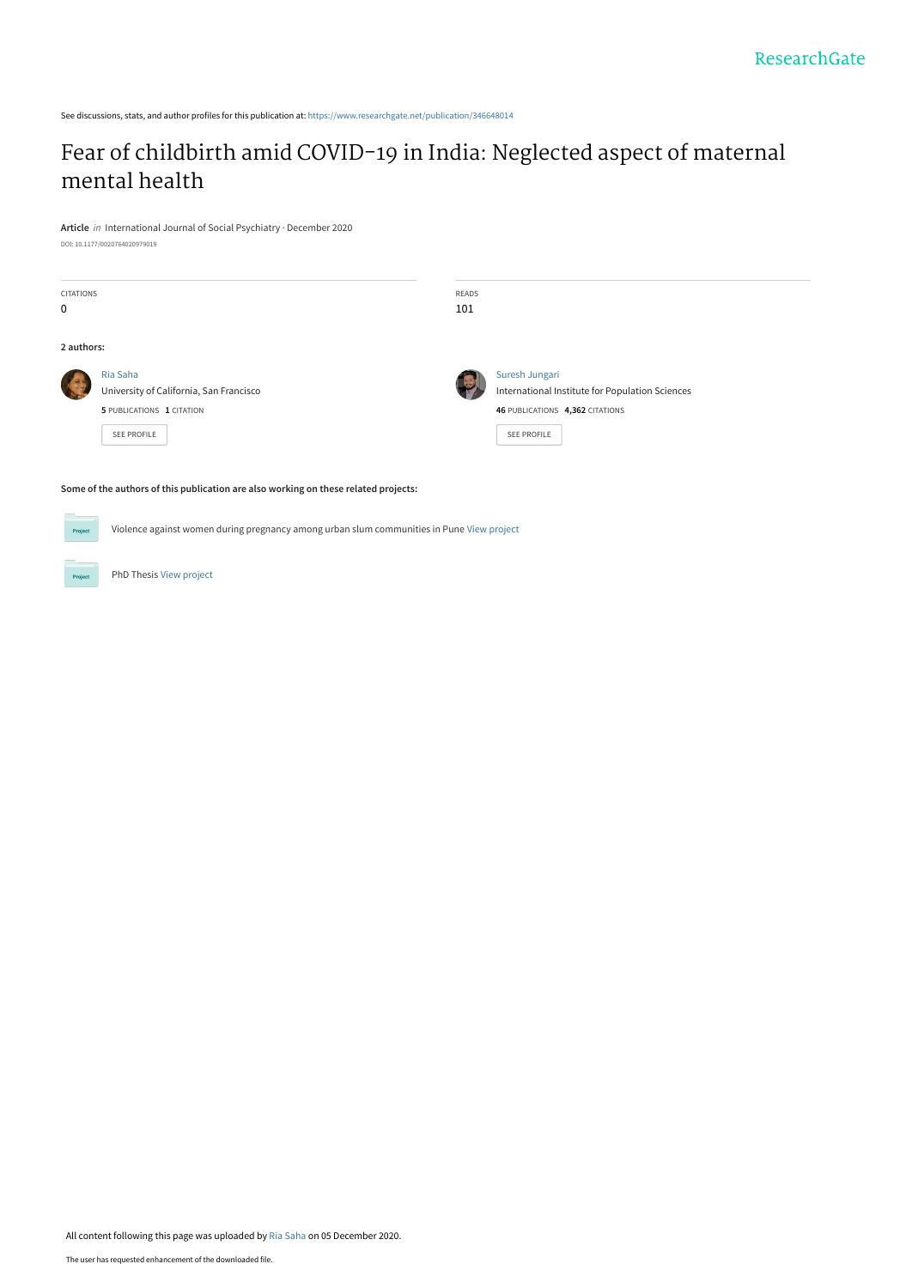See discussions, stats, and author profiles for this publication at: [https://www.researchgate.net/publication/346648014](https://www.researchgate.net/publication/346648014_Fear_of_childbirth_amid_COVID-19_in_India_Neglected_aspect_of_maternal_mental_health?enrichId=rgreq-695a7ae2fee6491a8a19a1655f64fa4c-XXX&enrichSource=Y292ZXJQYWdlOzM0NjY0ODAxNDtBUzo5NjUzMzI5NTcxNDMwNDFAMTYwNzE2NDcyMDIxOA%3D%3D&el=1_x_2&_esc=publicationCoverPdf)

## [Fear of childbirth amid COVID-19 in India: Neglected aspect of maternal](https://www.researchgate.net/publication/346648014_Fear_of_childbirth_amid_COVID-19_in_India_Neglected_aspect_of_maternal_mental_health?enrichId=rgreq-695a7ae2fee6491a8a19a1655f64fa4c-XXX&enrichSource=Y292ZXJQYWdlOzM0NjY0ODAxNDtBUzo5NjUzMzI5NTcxNDMwNDFAMTYwNzE2NDcyMDIxOA%3D%3D&el=1_x_3&_esc=publicationCoverPdf) mental health

**Article** in International Journal of Social Psychiatry · December 2020

DOI: 10.1177/0020764020979019

| CITATIONS<br>$\mathbf 0$ |                                                                                                        | <b>READS</b><br>101 |                                                                                                                     |
|--------------------------|--------------------------------------------------------------------------------------------------------|---------------------|---------------------------------------------------------------------------------------------------------------------|
| 2 authors:               |                                                                                                        |                     |                                                                                                                     |
| <b>A</b>                 | Ria Saha<br>University of California, San Francisco<br>5 PUBLICATIONS 1 CITATION<br><b>SEE PROFILE</b> |                     | Suresh Jungari<br>International Institute for Population Sciences<br>46 PUBLICATIONS 4,362 CITATIONS<br>SEE PROFILE |

**Some of the authors of this publication are also working on these related projects:**

Violence against women during pregnancy among urban slum communities in Pune [View project](https://www.researchgate.net/project/Violence-against-women-during-pregnancy-among-urban-slum-communities-in-Pune?enrichId=rgreq-695a7ae2fee6491a8a19a1655f64fa4c-XXX&enrichSource=Y292ZXJQYWdlOzM0NjY0ODAxNDtBUzo5NjUzMzI5NTcxNDMwNDFAMTYwNzE2NDcyMDIxOA%3D%3D&el=1_x_9&_esc=publicationCoverPdf)  $Prc$ 

PhD Thesis [View project](https://www.researchgate.net/project/PhD-Thesis-2159?enrichId=rgreq-695a7ae2fee6491a8a19a1655f64fa4c-XXX&enrichSource=Y292ZXJQYWdlOzM0NjY0ODAxNDtBUzo5NjUzMzI5NTcxNDMwNDFAMTYwNzE2NDcyMDIxOA%3D%3D&el=1_x_9&_esc=publicationCoverPdf)

All content following this page was uploaded by [Ria Saha](https://www.researchgate.net/profile/Ria-Saha-2?enrichId=rgreq-695a7ae2fee6491a8a19a1655f64fa4c-XXX&enrichSource=Y292ZXJQYWdlOzM0NjY0ODAxNDtBUzo5NjUzMzI5NTcxNDMwNDFAMTYwNzE2NDcyMDIxOA%3D%3D&el=1_x_10&_esc=publicationCoverPdf) on 05 December 2020.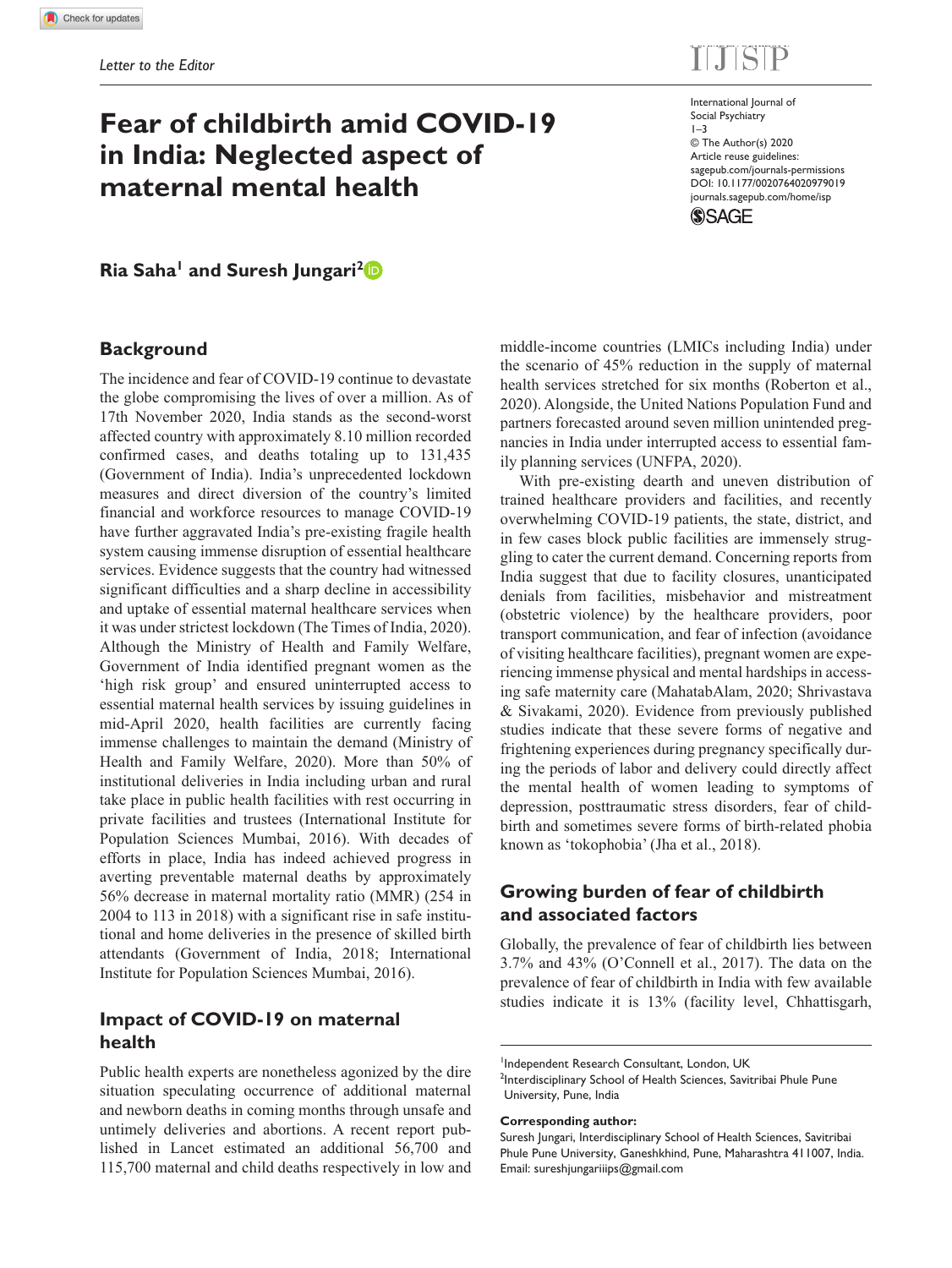# **Fear of childbirth amid COVID-19 in India: Neglected aspect of maternal mental health**

 $E = C \cdot \sim \infty$ 

International Journal of Social Psychiatry 1–3 © The Author(s) 2020 Article reuse guidelines: [sagepub.com/journals-permissions](https://uk.sagepub.com/en-gb/journals-permissions) DOI: 10.1177/0020764020979019 [journals.sagepub.com/home/isp](https://journals.sagepub.com/home/isp) **SSAGE** 

**Ria Saha<sup>1</sup> and Suresh Jungari<sup>2</sup><sup>D</sup>** 

### **Background**

The incidence and fear of COVID-19 continue to devastate the globe compromising the lives of over a million. As of 17th November 2020, India stands as the second-worst affected country with approximately 8.10 million recorded confirmed cases, and deaths totaling up to 131,435 (Government of India). India's unprecedented lockdown measures and direct diversion of the country's limited financial and workforce resources to manage COVID-19 have further aggravated India's pre-existing fragile health system causing immense disruption of essential healthcare services. Evidence suggests that the country had witnessed significant difficulties and a sharp decline in accessibility and uptake of essential maternal healthcare services when it was under strictest lockdown (The Times of India, 2020). Although the Ministry of Health and Family Welfare, Government of India identified pregnant women as the 'high risk group' and ensured uninterrupted access to essential maternal health services by issuing guidelines in mid-April 2020, health facilities are currently facing immense challenges to maintain the demand (Ministry of Health and Family Welfare, 2020). More than 50% of institutional deliveries in India including urban and rural take place in public health facilities with rest occurring in private facilities and trustees (International Institute for Population Sciences Mumbai, 2016). With decades of efforts in place, India has indeed achieved progress in averting preventable maternal deaths by approximately 56% decrease in maternal mortality ratio (MMR) (254 in 2004 to 113 in 2018) with a significant rise in safe institutional and home deliveries in the presence of skilled birth attendants (Government of India, 2018; International Institute for Population Sciences Mumbai, 2016).

### **Impact of COVID-19 on maternal health**

Public health experts are nonetheless agonized by the dire situation speculating occurrence of additional maternal and newborn deaths in coming months through unsafe and untimely deliveries and abortions. A recent report published in Lancet estimated an additional 56,700 and 115,700 maternal and child deaths respectively in low and middle-income countries (LMICs including India) under the scenario of 45% reduction in the supply of maternal health services stretched for six months (Roberton et al., 2020). Alongside, the United Nations Population Fund and partners forecasted around seven million unintended pregnancies in India under interrupted access to essential family planning services (UNFPA, 2020).

With pre-existing dearth and uneven distribution of trained healthcare providers and facilities, and recently overwhelming COVID-19 patients, the state, district, and in few cases block public facilities are immensely struggling to cater the current demand. Concerning reports from India suggest that due to facility closures, unanticipated denials from facilities, misbehavior and mistreatment (obstetric violence) by the healthcare providers, poor transport communication, and fear of infection (avoidance of visiting healthcare facilities), pregnant women are experiencing immense physical and mental hardships in accessing safe maternity care (MahatabAlam, 2020; Shrivastava & Sivakami, 2020). Evidence from previously published studies indicate that these severe forms of negative and frightening experiences during pregnancy specifically during the periods of labor and delivery could directly affect the mental health of women leading to symptoms of depression, posttraumatic stress disorders, fear of childbirth and sometimes severe forms of birth-related phobia known as 'tokophobia' (Jha et al., 2018).

## **Growing burden of fear of childbirth and associated factors**

Globally, the prevalence of fear of childbirth lies between 3.7% and 43% (O'Connell et al., 2017). The data on the prevalence of fear of childbirth in India with few available studies indicate it is 13% (facility level, Chhattisgarh,

**Corresponding author:**

<sup>1</sup> Independent Research Consultant, London, UK

<sup>&</sup>lt;sup>2</sup>Interdisciplinary School of Health Sciences, Savitribai Phule Pune University, Pune, India

Suresh Jungari, Interdisciplinary School of Health Sciences, Savitribai Phule Pune University, Ganeshkhind, Pune, Maharashtra 411007, India. Email: [sureshjungariiips@gmail.com](mailto:sureshjungariiips@gmail.com)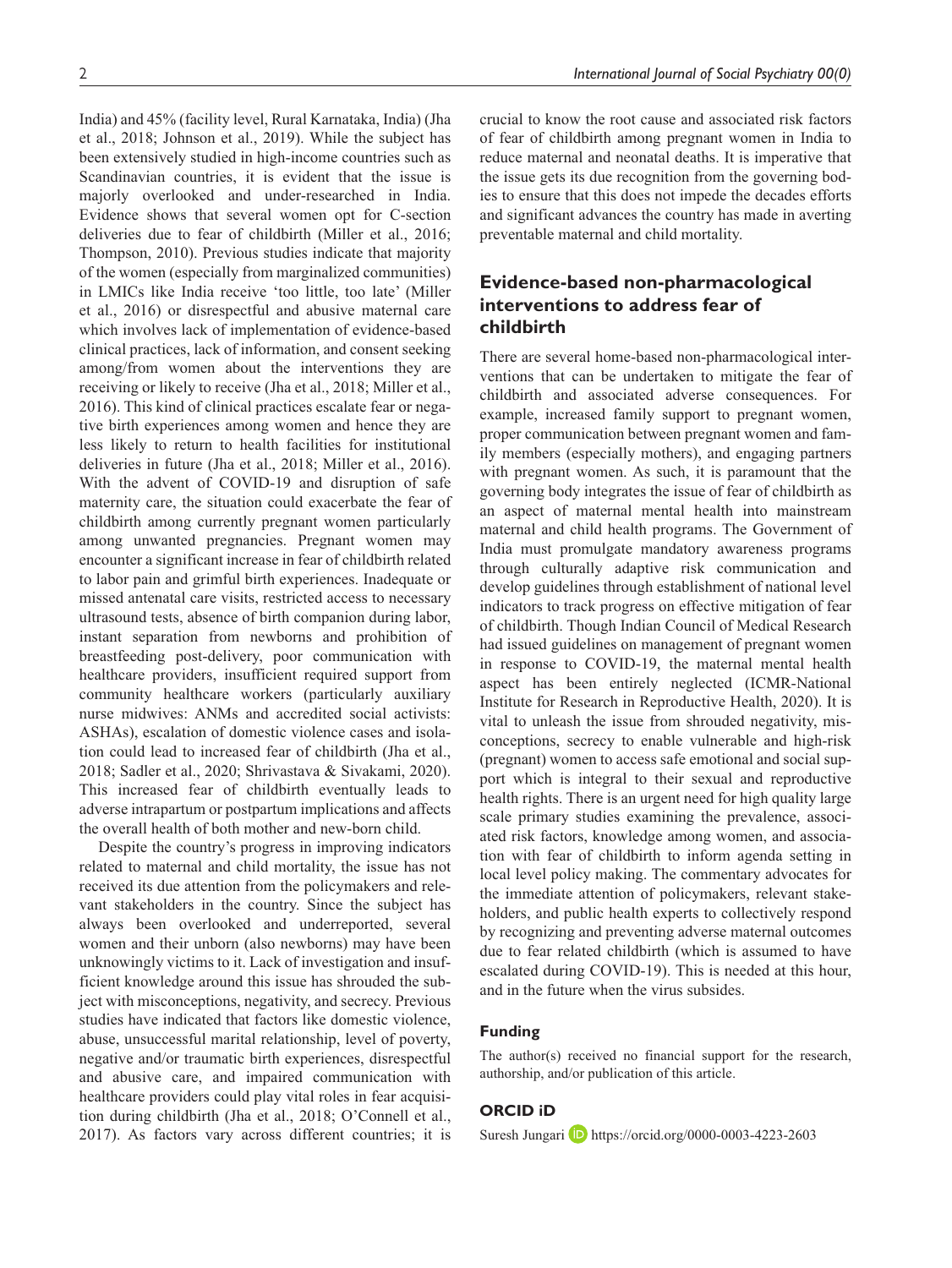India) and 45% (facility level, Rural Karnataka, India) (Jha et al., 2018; Johnson et al., 2019). While the subject has been extensively studied in high-income countries such as Scandinavian countries, it is evident that the issue is majorly overlooked and under-researched in India. Evidence shows that several women opt for C-section deliveries due to fear of childbirth (Miller et al., 2016; Thompson, 2010). Previous studies indicate that majority of the women (especially from marginalized communities) in LMICs like India receive 'too little, too late' (Miller et al., 2016) or disrespectful and abusive maternal care which involves lack of implementation of evidence-based clinical practices, lack of information, and consent seeking among/from women about the interventions they are receiving or likely to receive (Jha et al., 2018; Miller et al., 2016). This kind of clinical practices escalate fear or negative birth experiences among women and hence they are less likely to return to health facilities for institutional deliveries in future (Jha et al., 2018; Miller et al., 2016). With the advent of COVID-19 and disruption of safe maternity care, the situation could exacerbate the fear of childbirth among currently pregnant women particularly among unwanted pregnancies. Pregnant women may encounter a significant increase in fear of childbirth related to labor pain and grimful birth experiences. Inadequate or missed antenatal care visits, restricted access to necessary ultrasound tests, absence of birth companion during labor, instant separation from newborns and prohibition of breastfeeding post-delivery, poor communication with healthcare providers, insufficient required support from community healthcare workers (particularly auxiliary nurse midwives: ANMs and accredited social activists: ASHAs), escalation of domestic violence cases and isolation could lead to increased fear of childbirth (Jha et al., 2018; Sadler et al., 2020; Shrivastava & Sivakami, 2020). This increased fear of childbirth eventually leads to adverse intrapartum or postpartum implications and affects the overall health of both mother and new-born child.

Despite the country's progress in improving indicators related to maternal and child mortality, the issue has not received its due attention from the policymakers and relevant stakeholders in the country. Since the subject has always been overlooked and underreported, several women and their unborn (also newborns) may have been unknowingly victims to it. Lack of investigation and insufficient knowledge around this issue has shrouded the subject with misconceptions, negativity, and secrecy. Previous studies have indicated that factors like domestic violence, abuse, unsuccessful marital relationship, level of poverty, negative and/or traumatic birth experiences, disrespectful and abusive care, and impaired communication with healthcare providers could play vital roles in fear acquisition during childbirth (Jha et al., 2018; O'Connell et al., 2017). As factors vary across different countries; it is

crucial to know the root cause and associated risk factors of fear of childbirth among pregnant women in India to reduce maternal and neonatal deaths. It is imperative that the issue gets its due recognition from the governing bodies to ensure that this does not impede the decades efforts and significant advances the country has made in averting preventable maternal and child mortality.

## **Evidence-based non-pharmacological interventions to address fear of childbirth**

There are several home-based non-pharmacological interventions that can be undertaken to mitigate the fear of childbirth and associated adverse consequences. For example, increased family support to pregnant women, proper communication between pregnant women and family members (especially mothers), and engaging partners with pregnant women. As such, it is paramount that the governing body integrates the issue of fear of childbirth as an aspect of maternal mental health into mainstream maternal and child health programs. The Government of India must promulgate mandatory awareness programs through culturally adaptive risk communication and develop guidelines through establishment of national level indicators to track progress on effective mitigation of fear of childbirth. Though Indian Council of Medical Research had issued guidelines on management of pregnant women in response to COVID-19, the maternal mental health aspect has been entirely neglected (ICMR-National Institute for Research in Reproductive Health, 2020). It is vital to unleash the issue from shrouded negativity, misconceptions, secrecy to enable vulnerable and high-risk (pregnant) women to access safe emotional and social support which is integral to their sexual and reproductive health rights. There is an urgent need for high quality large scale primary studies examining the prevalence, associated risk factors, knowledge among women, and association with fear of childbirth to inform agenda setting in local level policy making. The commentary advocates for the immediate attention of policymakers, relevant stakeholders, and public health experts to collectively respond by recognizing and preventing adverse maternal outcomes due to fear related childbirth (which is assumed to have escalated during COVID-19). This is needed at this hour, and in the future when the virus subsides.

#### **Funding**

The author(s) received no financial support for the research, authorship, and/or publication of this article.

#### **ORCID iD**

Suresh Jungari **b** <https://orcid.org/0000-0003-4223-2603>